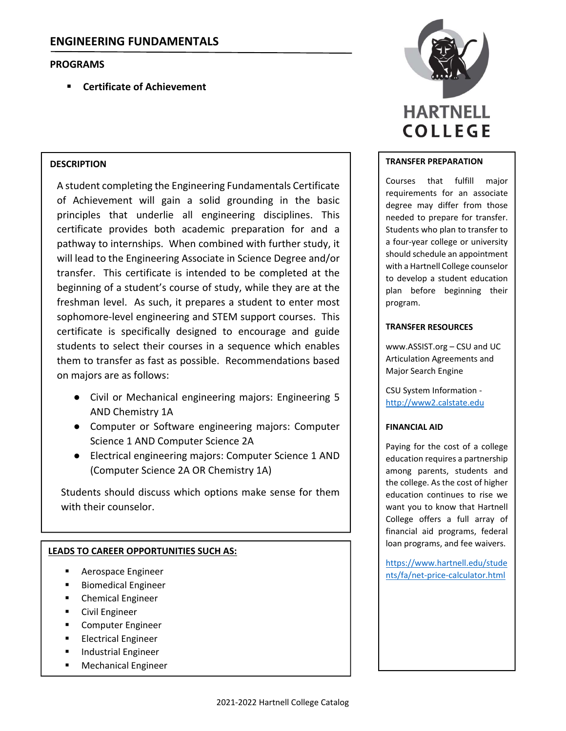# **PROGRAMS**

**Certificate of Achievement**

### **DESCRIPTION**

A student completing the Engineering Fundamentals Certificate of Achievement will gain a solid grounding in the basic principles that underlie all engineering disciplines. This certificate provides both academic preparation for and a pathway to internships. When combined with further study, it will lead to the Engineering Associate in Science Degree and/or transfer. This certificate is intended to be completed at the beginning of a student's course of study, while they are at the freshman level. As such, it prepares a student to enter most sophomore-level engineering and STEM support courses. This certificate is specifically designed to encourage and guide students to select their courses in a sequence which enables them to transfer as fast as possible. Recommendations based on majors are as follows:

- Civil or Mechanical engineering majors: Engineering 5 AND Chemistry 1A
- Computer or Software engineering majors: Computer Science 1 AND Computer Science 2A
- Electrical engineering majors: Computer Science 1 AND (Computer Science 2A OR Chemistry 1A)

Students should discuss which options make sense for them with their counselor.

# **LEADS TO CAREER OPPORTUNITIES SUCH AS:**

- **Aerospace Engineer**
- Biomedical Engineer
- **E** Chemical Engineer
- Civil Engineer
- Computer Engineer
- **Electrical Engineer**
- Industrial Engineer
- Mechanical Engineer



#### **TRANSFER PREPARATION**

Courses that fulfill major requirements for an associate degree may differ from those needed to prepare for transfer. Students who plan to transfer to a four‐year college or university should schedule an appointment with a Hartnell College counselor to develop a student education plan before beginning their program.

### **TRANSFER RESOURCES**

www.ASSIST.org – CSU and UC Articulation Agreements and Major Search Engine

CSU System Information ‐ http://www2.calstate.edu

### **FINANCIAL AID**

Paying for the cost of a college education requires a partnership among parents, students and the college. As the cost of higher education continues to rise we want you to know that Hartnell College offers a full array of financial aid programs, federal loan programs, and fee waivers.

https://www.hartnell.edu/stude nts/fa/net‐price‐calculator.html